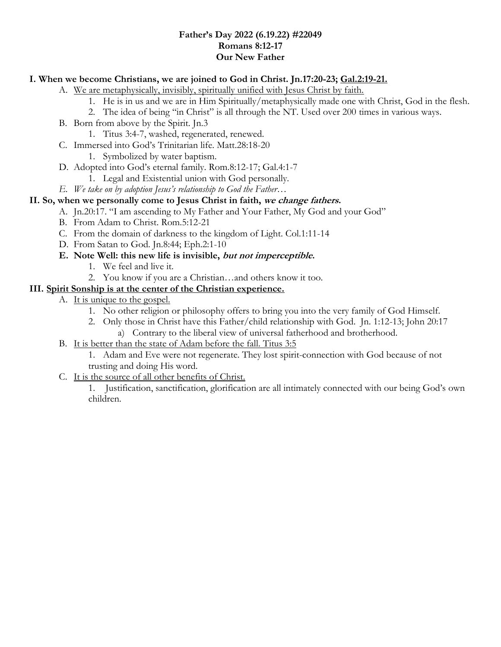### **Father's Day 2022 (6.19.22) #22049 Romans 8:12-17 Our New Father**

### **I. When we become Christians, we are joined to God in Christ. Jn.17:20-23; Gal.2:19-21.**

A. We are metaphysically, invisibly, spiritually unified with Jesus Christ by faith.

- 1. He is in us and we are in Him Spiritually/metaphysically made one with Christ, God in the flesh.
	- 2. The idea of being "in Christ" is all through the NT. Used over 200 times in various ways.
- B. Born from above by the Spirit. Jn.3
	- 1. Titus 3:4-7, washed, regenerated, renewed.
- C. Immersed into God's Trinitarian life. Matt.28:18-20
	- 1. Symbolized by water baptism.
- D. Adopted into God's eternal family. Rom.8:12-17; Gal.4:1-7
	- 1. Legal and Existential union with God personally.
- *E. We take on by adoption Jesus's relationship to God the Father…*

## **II. So, when we personally come to Jesus Christ in faith, we change fathers.**

- A. Jn.20:17. "I am ascending to My Father and Your Father, My God and your God"
- B. From Adam to Christ. Rom.5:12-21
- C. From the domain of darkness to the kingdom of Light. Col.1:11-14
- D. From Satan to God. Jn.8:44; Eph.2:1-10
- **E. Note Well: this new life is invisible, but not imperceptible.**
	- 1. We feel and live it.
	- 2. You know if you are a Christian…and others know it too.

## **III. Spirit Sonship is at the center of the Christian experience.**

- A. It is unique to the gospel.
	- 1. No other religion or philosophy offers to bring you into the very family of God Himself.
	- 2. Only those in Christ have this Father/child relationship with God. Jn. 1:12-13; John 20:17 a) Contrary to the liberal view of universal fatherhood and brotherhood.
- B. It is better than the state of Adam before the fall. Titus 3:5
	- 1. Adam and Eve were not regenerate. They lost spirit-connection with God because of not trusting and doing His word.
- C. It is the source of all other benefits of Christ.

1. Justification, sanctification, glorification are all intimately connected with our being God's own children.